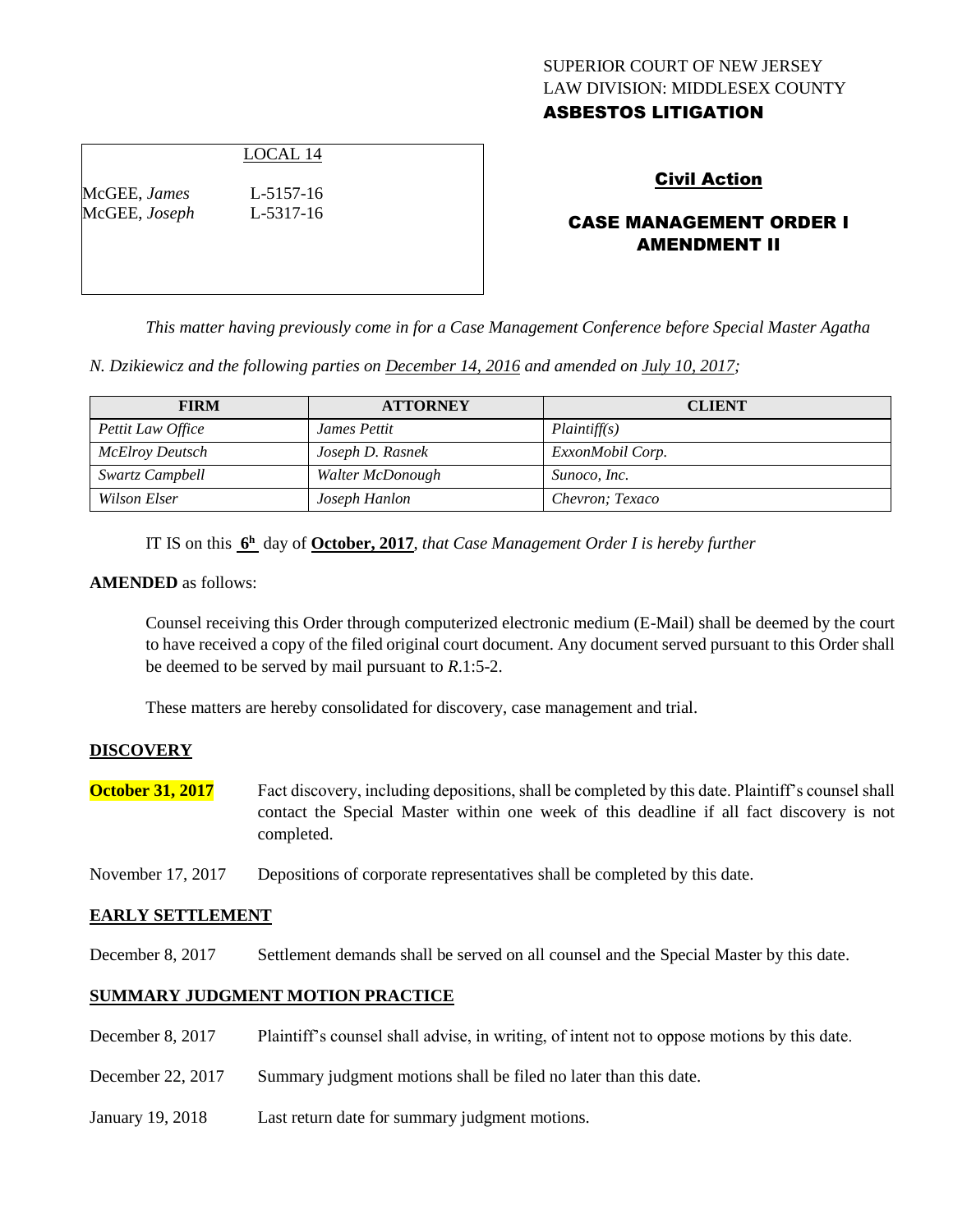## SUPERIOR COURT OF NEW JERSEY LAW DIVISION: MIDDLESEX COUNTY ASBESTOS LITIGATION

## LOCAL 14

McGEE, *James* L-5157-16 McGEE, *Joseph* L-5317-16

## Civil Action

# CASE MANAGEMENT ORDER I AMENDMENT II

*This matter having previously come in for a Case Management Conference before Special Master Agatha* 

*N. Dzikiewicz and the following parties on December 14, 2016 and amended on July 10, 2017;*

| <b>FIRM</b>       | <b>ATTORNEY</b>  | <b>CLIENT</b>    |
|-------------------|------------------|------------------|
| Pettit Law Office | James Pettit     | Plaintiff(s)     |
| McElroy Deutsch   | Joseph D. Rasnek | ExxonMobil Corp. |
| Swartz Campbell   | Walter McDonough | Sunoco, Inc.     |
| Wilson Elser      | Joseph Hanlon    | Chevron; Texaco  |

IT IS on this **6 <sup>h</sup>** day of **October, 2017**, *that Case Management Order I is hereby further*

#### **AMENDED** as follows:

Counsel receiving this Order through computerized electronic medium (E-Mail) shall be deemed by the court to have received a copy of the filed original court document. Any document served pursuant to this Order shall be deemed to be served by mail pursuant to *R*.1:5-2.

These matters are hereby consolidated for discovery, case management and trial.

#### **DISCOVERY**

**October 31, 2017** Fact discovery, including depositions, shall be completed by this date. Plaintiff's counsel shall contact the Special Master within one week of this deadline if all fact discovery is not completed.

November 17, 2017 Depositions of corporate representatives shall be completed by this date.

#### **EARLY SETTLEMENT**

December 8, 2017 Settlement demands shall be served on all counsel and the Special Master by this date.

#### **SUMMARY JUDGMENT MOTION PRACTICE**

| December $8, 2017$ | Plaintiff's counsel shall advise, in writing, of intent not to oppose motions by this date. |
|--------------------|---------------------------------------------------------------------------------------------|
| December 22, 2017  | Summary judgment motions shall be filed no later than this date.                            |
| January 19, 2018   | Last return date for summary judgment motions.                                              |